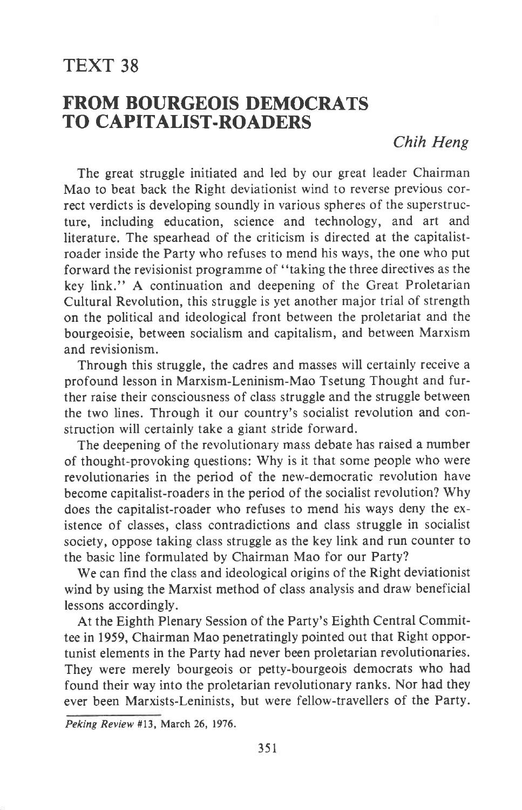## TEXT 38

## FROM BOURGEOIS DEMOCRATS TO CAPITALIST.ROADERS

Chih Heng

The great struggle initiated and led by our great leader Chairman Mao to beat back the Right deviationist wind to reverse previous correct verdicts is developing soundly in various spheres of the superstructure, including education, science and technology, and art and literature. The spearhead of the criticism is directed at the capitalistroader inside the Party who refuses to mend his ways, the one who put forward the revisionist programme of "taking the three directives as the key link." A continuation and deepening of the Great Proletarian Cultural Revolution, this struggle is yet another major trial of strength on the political and ideological front between the proletariat and the bourgeoisie, between socialism and capitalism, and between Marxism and revisionism.

Through this struggle, the cadres and masses will certainly receive a profound lesson in Marxism-Leninism-Mao Tsetung Thought and further raise their consciousness of class struggle and the struggle between the two lines. Through it our country's socialist revolution and construction will certainly take a giant stride forward.

The deepening of the revolutionary mass debate has raised a number of thought-provoking questions: Why is it that some people who were revolutionaries in the period of the new-democratic revolution have become capitalist-roaders in the period of the socialist revolution? Why does the capitalist-roader who refuses to mend his ways deny the existence of classes, class contradictions and class struggle in socialist society, oppose taking class struggle as the key link and run counter to the basic line formulated by Chairman Mao for our Party?

We can find the class and ideological origins of the Right deviationist wind by using the Marxist method of class analysis and draw beneficial lessons accordingly.

At the Eighth Plenary Session of the Party's Eighth Central Committee in 1959, Chairman Mao penetratingly pointed out that Right opportunist elements in the Party had never been proletarian revolutionaries. They were merely bourgeois or petty-bourgeois democrats who had found their way into the proletarian revolutionary ranks. Nor had they ever been Marxists-Leninists, but were fellow-travellers of the Party.

Peking Review #13, March 26, 1976.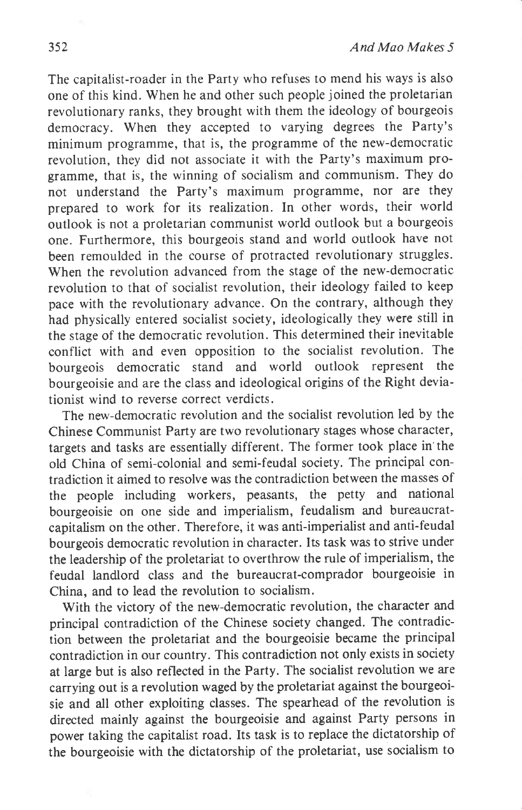The capitalist-roader in the Party who refuses to mend his ways is also one of this kind. When he and other such people joined the proletarian revolutionary ranks, they brought with them the ideology of bourgeois democracy. When they accepted to varying degrees the Party's minimum programme, that is, the programme of the new-democratic revolution, they did not associate it with the Party's maximum programme, that is, the winning of socialism and communism. They do not understand the Party's maximum programme, nor are they prepared to work for its realization. In other words, their world outlook is not a proletarian communist world outlook but a bourgeois one. Furthermore, this bourgeois stand and world outlook have not been remoulded in the course of protracted revolutionary struggles. When the revolution advanced from the stage of the new-democratic revolution to that of socialist revolution, their ideology failed to keep pace with the revolutionary advance. On the contrary, although they had physically entered socialist society, ideologically they were still in the stage of the democratic revolution. This determined their inevitable conflict with and even opposition to the socialist revolution. The bourgeois democratic stand and world outlook represent the bourgeoisie and are the class and ideological origins of the Right deviationist wind to reverse correct verdicts.

The new-democratic revolution and the socialist revolution led by the Chinese Communist Party are two revolutionary stages whose character, targets and tasks are essentially different. The former took place in'the old China of semi-colonial and semi-feudal society. The principal contradiction it aimed to resolve was the contradiction between the masses of the people including workers, peasants, the petty and national bourgeoisie on one side and imperialism, feudalism and bureaucratcapitalism on the other. Therefore, it was anti-imperialist and anti-feudal bourgeois democratic revolution in character. Its task was to strive under the leadership of the proletariat to overthrow the rule of imperialism, the feudal landlord class and the bureaucrat-comprador bourgeoisie in China, and to lead the revolution to socialism.

With the victory of the new-democratic revolution, the character and principal contradiction of the Chinese society changed. The contradiction between the proletariat and the bourgeoisie became the principal contradiction in our country. This contradiction not only exists in society at large but is also reflected in the Party. The socialist revolution we are carrying out is a revolution waged by the proletariat against the bourgeoisie and all other exploiting classes. The spearhead of the revolution is directed mainly against the bourgeoisie and against Party persons in power taking the capitalist road. Its task is to replace the dictatorship of the bourgeoisie with the dictatorship of the proletariat, use socialism to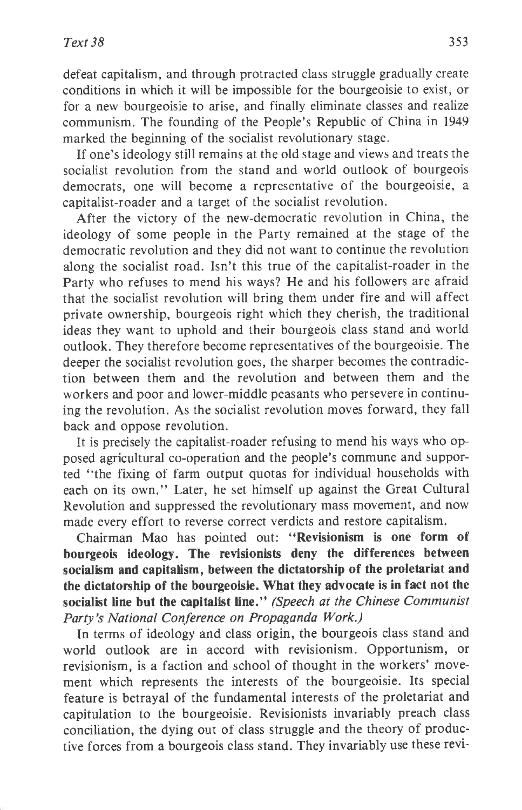defeat capitalism, and through protracted class struggle gradually create conditions in which it will be impossible for the bourgeoisie to exist, or for a new bourgeoisie to arise, and finally eliminate classes and realize communism. The founding of the People's Republic of China in <sup>1949</sup> marked the beginning of the socialist revolutionary stage.

If one's ideology still remains at the old stage and views and treats the socialist revolution from the stand and world outlook of bourgeois democrats, one will become a representative of the bourgeoisie, <sup>a</sup> capitalist-roader and a target of the socialist revolution.

After the victory of the new-democratic revolution in China, the ideology of some people in the Party remained at the stage of the democratic revolution and they did not want to continue the revolution along the socialist road. Isn't this true of the capitalist-roader in the Party who refuses to mend his ways? He and his followers are afraid that the socialist revolution will bring them under fire and will affect private ownership, bourgeois right which they cherish, the traditional ideas they want to uphold and their bourgeois class stand and world outlook. They therefore become representatives of the bourgeoisie. The deeper the socialist revolution goes, the sharper becomes the contradiction between them and the revolution and between them and the workers and poor and lower-middle peasants who persevere in continuing the revolution. As the socialist revolution moves forward, they fall back and oppose revolution.

It is precisely the capitalist-roader refusing to mend his ways who opposed agricultural co-operation and the people's commune and supported "the fixing of farm output quotas for individual households with each on its own." Later, he set himself up against the Great Cultural Revolution and suppressed the revolutionary mass movement, and now made every effort to reverse correct verdicts and restore capitalism.

Chairman Mao has pointed out: "Revisionism is one form of bourgeois ideology. The revisionists deny the differences between socialism and capitalism, between the dictatorship of ihe proletariat and the dictatorship of the bourgeoisie. What they advocate is in fact not the socialist line but the capitalist line." (Speech at the Chinese Communist Party's National Conference on Propaganda Work.)

In terms of ideology and class origin, the bourgeois class stand and world outlook are in accord with revisionism. Opportunism, or revisionism, is a faction and school of thought in the workers' movement which represents the interests of the bourgeoisie. Its special feature is betrayal of the fundamental interests of the proletariat and capitulation to the bourgeoisie. Revisionists invariably preach class conciliation, the dying out of class struggle and the theory of productive forces from a bourgeois class stand. They invariably use these revi-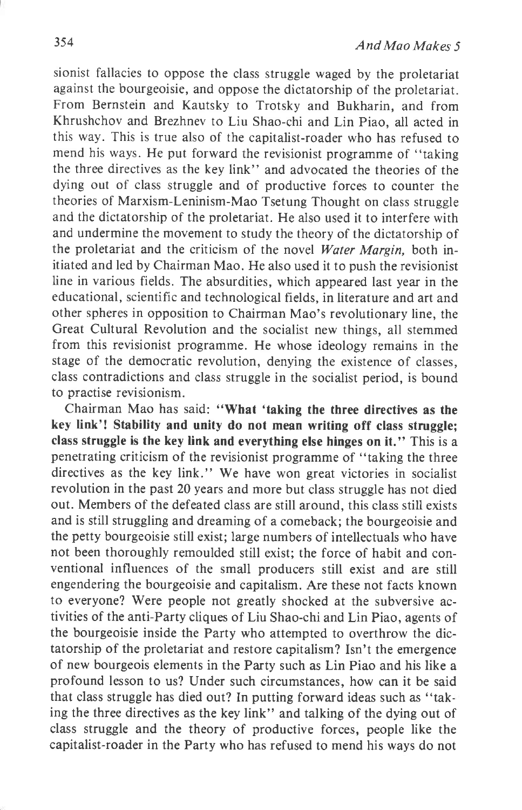sionist fallacies to oppose the class struggle waged by the proletariat against the bourgeoisie, and oppose the dictatorship of the proletariat. From Bernstein and Kautsky to Trotsky and Bukharin, and from Khrushchov and Brezhnev to Liu Shao-chi and Lin Piao, all acted in this way. This is true also of the capitalist-roader who has refused to mend his ways. He put forward the revisionist programme of "taking the three directives as the key link" and advocated the theories of the dying out of class struggle and of productive forces to counter the theories of Marxism-Leninism-Mao Tsetung Thought on class struggle and the dictatorship of the proletariat. He also used it to interfere with and undermine the movement to study the theory of the dictatorship of the proletariat and the criticism of the novel Water Margin, both initiated and led by Chairman Mao. He also used it to push the revisionist line in various fields. The absurdities, which appeared last year in the educational, scientific and technological fields, in literature and art and other spheres in opposition to Chairman Mao's revolutionary line, the Great Cultural Revolution and the socialist new things, all stemmed from this revisionist programme. He whose ideology remains in the stage of the democratic revolution, denying the existence of classes, class contradictions and class struggle in the socialist period, is bound to practise revisionism.

Chairman Mao has said: "What 'taking the three directives as the key link'! Stability and unity do not mean writing off class struggle; class struggle is the key link and everything else hinges on it." This is <sup>a</sup> penetrating criticism of the revisionist programme of "taking the three directives as the key link." We have won great victories in socialist revolution in the past 20 years and more but class struggle has not died out. Members of the defeated class are still around, this class still exists and is still struggling and dreaming of a comeback; the bourgeoisie and the petty bourgeoisie still exist; large numbers of intellectuals who have not been thoroughly remoulded still exist; the force of habit and conventional influences of the small producers still exist and are still engendering the bourgeoisie and capitalism. Are these not facts known to everyone? Were people not greatly shocked at the subversive activities of the anti-Party cliques of Liu Shao-chi and Lin Piao, agents of the bourgeoisie inside the Party who attempted to overthrow the dictatorship of the proletariat and restore capitalism? Isn't the emergence of new bourgeois elements in the Party such as Lin Piao and his like a profound lesson to us? Under such circumstances, how can it be said that class struggle has died out? In putting forward ideas such as "taking the three directives as the key link" and talking of the dying out of class struggle and the theory of productive forces, people like the capitalist-roader in the Party who has refused to mend his ways do not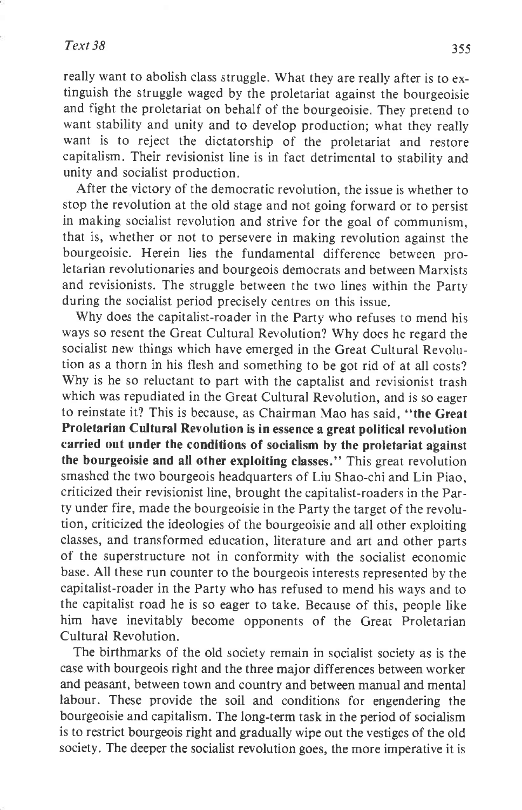## Text 38  $355$

really want to abolish class struggle. What they are really after is to extinguish the struggle waged by the proletariat against the bourgeoisie and fight the proletariat on behalf of the bourgeoisie. They pretend to want stability and unity and to develop production; what they really want is to reject the dictatorship of the proletariat and restore capitalism. Their revisionist line is in fact detrimental to stability and unity and socialist production.

After the victory of the democratic revolution, the issue is whether to stop the revolution at the old stage and not going forward or to persist in making socialist revolution and strive for the goal of communism, that is, whether or not to persevere in making revolution against the bourgeoisie. Herein lies the fundamental difference between proletarian revolutionaries and bourgeois democrats and between Marxists and revisionists. The struggle between the two lines within the Party during the socialist period precisely centres on this issue.

Why does the capitalist-roader in the Party who refuses to mend his ways so resent the Great Cultural Revolution? Why does he regard the socialist new things which have emerged in the Great Cultural Revolution as a thorn in his flesh and something to be got rid of at all costs? Why is he so reluctant to part with the captalist and revisionist trash which was repudiated in the Great Cultural Revolution, and is so eager to reinstate it? This is because, as Chairman Mao has said, "the Great Proletarian Cultural Revolution is in essence a great political revolution carried out under the conditions of socialism by the proletariat against the bourgeoisie and all other exploiting classes." This great revolution smashed the two bourgeois headquarters of Liu Shao-chi and Lin Piao, criticized their revisionist line, brought the capitalist-roaders in the party under fire, made the bourgeoisie in the Party the target of the revolution, criticized the ideologies of the bourgeoisie and all other exploiting classes, and transformed education, literature and art and other parts of the superstructure not in conformity with the socialist economic base. All these run counter to the bourgeois interests represented by the capitalist-roader in the Party who has refused to mend his ways and to the capitalist road he is so eager to take. Because of this, people like him have inevitably become opponents of the Great Proletarian Cultural Revolution.

The birthmarks of the old society remain in socialist society as is the case with bourgeois right and the three major differences between worker and peasant, between town and country and between manual and mental labour. These provide the soil and conditions for engendering the bourgeoisie and capitalism. The long-term task in the period of socialism is to restrict bourgeois right and gradually wipe out the vestiges of the old society. The deeper the socialist revolution goes, the more imperative it is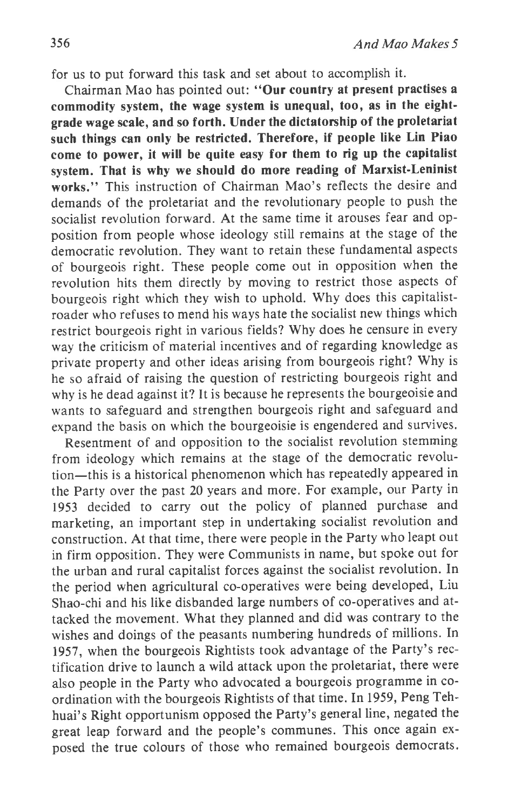for us to put forward this task and set about to accomplish it.

Chairman Mao has pointed out: "Our country at present practises <sup>a</sup> commodity system, the wage system is unequal, too, as in the eight' grade wage scale, and so forth. Under the dictatorship of the proletariat such things can only be restricted. Therefore, if people like Lin Piao come to power, it will be quite easy for them to rig up the capitalist system. That is why we should do more reading of Marxist-Leninist works." This instruction of Chairman Mao's reflects the desire and demands of the proletariat and the revolutionary people to push the socialist revolution forward. At the same time it arouses fear and opposition from people whose ideology still remains at the stage of the democratic revolution. They want to retain these fundamental aspects of bourgeois right. These people come out in opposition when the revolution hits them directly by moving to restrict those aspects of bourgeois right which they wish to uphold. Why does this capitalistroader who refuses to mend his ways hate the socialist new things which restrict bourgeois right in various fields? Why does he censure in every way the criticism of material incentives and of regarding knowledge as private property and other ideas arising from bourgeois right? Why is he so afraid of raising the question of restricting bourgeois right and why is he dead against it? It is because he represents the bourgeoisie and wants to safeguard and strengthen bourgeois right and safeguard and expand the basis on which the bourgeoisie is engendered and survives.

Resentment of and opposition to the socialist revolution stemming from ideology which remains at the stage of the democratic revolution-this is a historical phenomenon which has repeatedly appeared in the Party over the past 20 years and more, For example, our Party in 1953 decided to carry out the policy of planned purchase and marketing, an important step in undertaking socialist revolution and construction. At that time, there were people in the Party who leapt out in firm opposition. They were Communists in name, but spoke out for the urban and rural capitalist forces against the socialist revolution. In the period when agricultural co-operatives were being developed, Liu Shao-chi and his like disbanded large numbers of co-operatives and attacked the movement. What they planned and did was contrary to the wishes and doings of the peasants numbering hundreds of millions, In 1957, when the bourgeois Rightists took advantage of the Party's rectification drive to launch a wild attack upon the proletariat, there were also people in the Party who advocated a bourgeois programme in coordination with the bourgeois Rightists of that time. In 1959, Peng Tehhuai's Right opportunism opposed the Party's general line, negated the great leap forward and the people's communes. This once again exposed the true colours of those who remained bourgeois democrats.